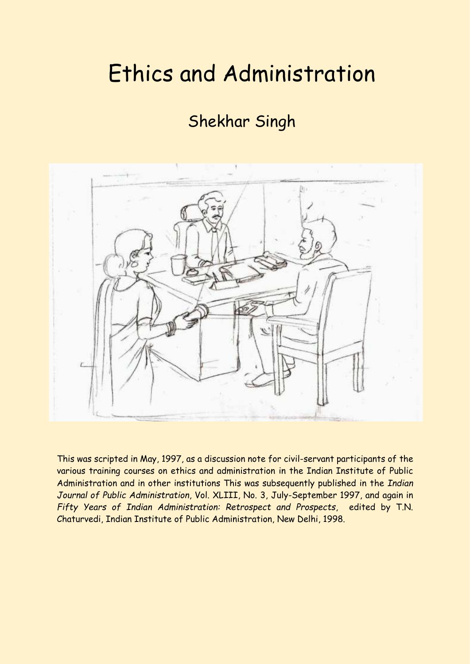# Ethics and Administration

# Shekhar Singh



This was scripted in May, 1997, as a discussion note for civil-servant participants of the various training courses on ethics and administration in the Indian Institute of Public Administration and in other institutions This was subsequently published in the *Indian Journal of Public Administration*, Vol. XLIII, No. 3, July-September 1997, and again in *Fifty Years of Indian Administration: Retrospect and Prospects*, edited by T.N. Chaturvedi, Indian Institute of Public Administration, New Delhi, 1998.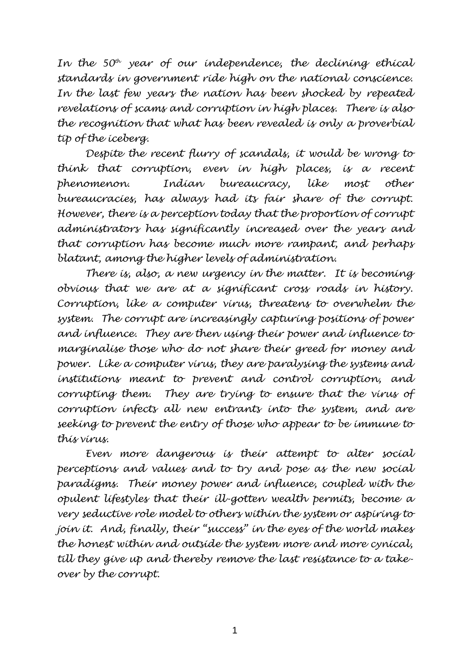*In the 50th year of our independence, the declining ethical standards in government ride high on the national conscience. In the last few years the nation has been shocked by repeated revelations of scams and corruption in high places. There is also the recognition that what has been revealed is only a proverbial tip of the iceberg.*

*Despite the recent flurry of scandals, it would be wrong to think that corruption, even in high places, is a recent phenomenon. Indian bureaucracy, like most other bureaucracies, has always had its fair share of the corrupt. However, there is a perception today that the proportion of corrupt administrators has significantly increased over the years and that corruption has become much more rampant, and perhaps blatant, among the higher levels of administration.*

*There is, also, a new urgency in the matter. It is becoming obvious that we are at a significant cross roads in history. Corruption, like a computer virus, threatens to overwhelm the system. The corrupt are increasingly capturing positions of power and influence. They are then using their power and influence to marginalise those who do not share their greed for money and power. Like a computer virus, they are paralysing the systems and institutions meant to prevent and control corruption, and corrupting them. They are trying to ensure that the virus of corruption infects all new entrants into the system, and are seeking to prevent the entry of those who appear to be immune to this virus.*

*Even more dangerous is their attempt to alter social perceptions and values and to try and pose as the new social paradigms. Their money power and influence, coupled with the opulent lifestyles that their ill-gotten wealth permits, become a very seductive role model to others within the system or aspiring to join it. And, finally, their "success" in the eyes of the world makes the honest within and outside the system more and more cynical, till they give up and thereby remove the last resistance to a takeover by the corrupt.*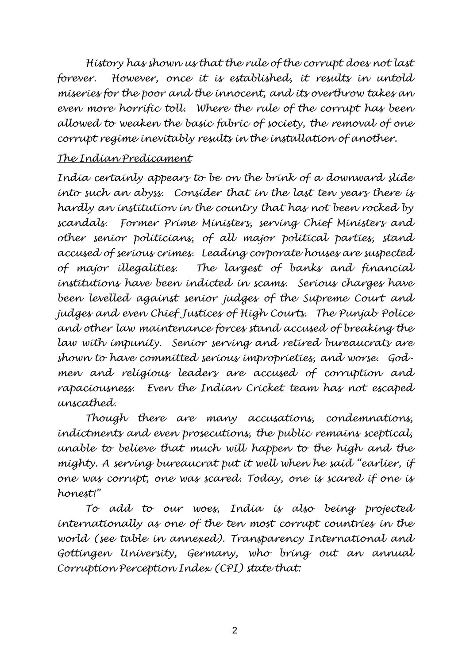*History has shown us that the rule of the corrupt does not last forever. However, once it is established, it results in untold miseries for the poor and the innocent, and its overthrow takes an even more horrific toll. Where the rule of the corrupt has been allowed to weaken the basic fabric of society, the removal of one corrupt regime inevitably results in the installation of another.*

# *The Indian Predicament*

*India certainly appears to be on the brink of a downward slide into such an abyss. Consider that in the last ten years there is hardly an institution in the country that has not been rocked by scandals. Former Prime Ministers, serving Chief Ministers and other senior politicians, of all major political parties, stand accused of serious crimes. Leading corporate houses are suspected of major illegalities. The largest of banks and financial institutions have been indicted in scams. Serious charges have been levelled against senior judges of the Supreme Court and judges and even Chief Justices of High Courts. The Punjab Police and other law maintenance forces stand accused of breaking the law with impunity. Senior serving and retired bureaucrats are shown to have committed serious improprieties, and worse. Godmen and religious leaders are accused of corruption and rapaciousness. Even the Indian Cricket team has not escaped unscathed.*

*Though there are many accusations, condemnations, indictments and even prosecutions, the public remains sceptical, unable to believe that much will happen to the high and the mighty. A serving bureaucrat put it well when he said "earlier, if one was corrupt, one was scared. Today, one is scared if one is honest!"*

*To add to our woes, India is also being projected internationally as one of the ten most corrupt countries in the world (see table in annexed). Transparency International and Gottingen University, Germany, who bring out an annual Corruption Perception Index (CPI) state that:* 

2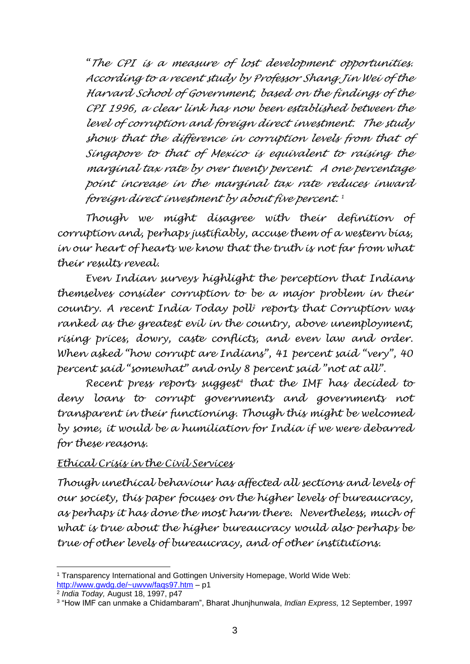*"The CPI is a measure of lost development opportunities. According to a recent study by Professor Shang Jin Wei of the Harvard School of Government, based on the findings of the CPI 1996, a clear link has now been established between the level of corruption and foreign direct investment. The study shows that the difference in corruption levels from that of Singapore to that of Mexico is equivalent to raising the marginal tax rate by over twenty percent. A one percentage point increase in the marginal tax rate reduces inward foreign direct investment by about five percent. 1*

*Though we might disagree with their definition of corruption and, perhaps justifiably, accuse them of a western bias, in our heart of hearts we know that the truth is not far from what their results reveal.*

*Even Indian surveys highlight the perception that Indians themselves consider corruption to be a major problem in their country. A recent India Today poll<sup>2</sup> reports that Corruption was ranked as the greatest evil in the country, above unemployment, rising prices, dowry, caste conflicts, and even law and order. When asked "how corrupt are Indians", 41 percent said "very", 40 percent said "somewhat" and only 8 percent said "not at all".*

*Recent press reports suggest<sup>3</sup> that the IMF has decided to deny loans to corrupt governments and governments not transparent in their functioning. Though this might be welcomed by some, it would be a humiliation for India if we were debarred for these reasons.*

#### *Ethical Crisis in the Civil Services*

*Though unethical behaviour has affected all sections and levels of our society, this paper focuses on the higher levels of bureaucracy, as perhaps it has done the most harm there. Nevertheless, much of what is true about the higher bureaucracy would also perhaps be true of other levels of bureaucracy, and of other institutions.*

<sup>1</sup> Transparency International and Gottingen University Homepage, World Wide Web: <http://www.gwdg.de/~uwvw/faqs97.htm> – p1

<sup>2</sup> *India Today,* August 18, 1997, p47

<sup>3</sup> "How IMF can unmake a Chidambaram", Bharat Jhunjhunwala, *Indian Express,* 12 September, 1997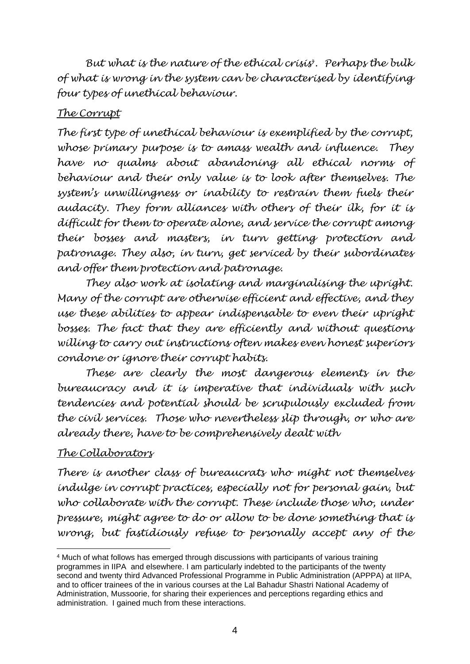*But what is the nature of the ethical crisis<sup>4</sup> . Perhaps the bulk of what is wrong in the system can be characterised by identifying four types of unethical behaviour.* 

# *The Corrupt*

*The first type of unethical behaviour is exemplified by the corrupt, whose primary purpose is to amass wealth and influence. They have no qualms about abandoning all ethical norms of behaviour and their only value is to look after themselves. The system's unwillingness or inability to restrain them fuels their audacity. They form alliances with others of their ilk, for it is difficult for them to operate alone, and service the corrupt among their bosses and masters, in turn getting protection and patronage. They also, in turn, get serviced by their subordinates and offer them protection and patronage.*

*They also work at isolating and marginalising the upright. Many of the corrupt are otherwise efficient and effective, and they use these abilities to appear indispensable to even their upright bosses. The fact that they are efficiently and without questions willing to carry out instructions often makes even honest superiors condone or ignore their corrupt habits.* 

*These are clearly the most dangerous elements in the bureaucracy and it is imperative that individuals with such tendencies and potential should be scrupulously excluded from the civil services. Those who nevertheless slip through, or who are already there, have to be comprehensively dealt with*

# *The Collaborators*

*There is another class of bureaucrats who might not themselves indulge in corrupt practices, especially not for personal gain, but who collaborate with the corrupt. These include those who, under pressure, might agree to do or allow to be done something that is wrong, but fastidiously refuse to personally accept any of the* 

<sup>4</sup> Much of what follows has emerged through discussions with participants of various training programmes in IIPA and elsewhere. I am particularly indebted to the participants of the twenty second and twenty third Advanced Professional Programme in Public Administration (APPPA) at IIPA, and to officer trainees of the in various courses at the Lal Bahadur Shastri National Academy of Administration, Mussoorie, for sharing their experiences and perceptions regarding ethics and administration. I gained much from these interactions.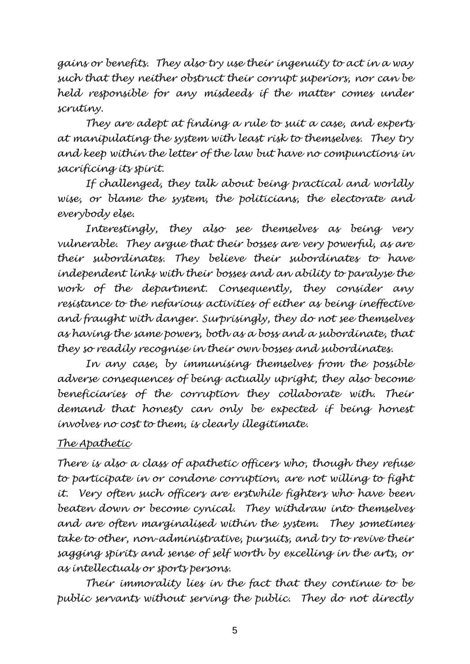*gains or benefits. They also try use their ingenuity to act in a way such that they neither obstruct their corrupt superiors, nor can be held responsible for any misdeeds if the matter comes under scrutiny.*

*They are adept at finding a rule to suit a case, and experts at manipulating the system with least risk to themselves. They try and keep within the letter of the law but have no compunctions in sacrificing its spirit.*

*If challenged, they talk about being practical and worldly wise, or blame the system, the politicians, the electorate and everybody else.* 

*Interestingly, they also see themselves as being very vulnerable. They argue that their bosses are very powerful, as are their subordinates. They believe their subordinates to have independent links with their bosses and an ability to paralyse the work of the department. Consequently, they consider any resistance to the nefarious activities of either as being ineffective and fraught with danger. Surprisingly, they do not see themselves as having the same powers, both as a boss and a subordinate, that they so readily recognise in their own bosses and subordinates.*

*In any case, by immunising themselves from the possible adverse consequences of being actually upright, they also become beneficiaries of the corruption they collaborate with. Their demand that honesty can only be expected if being honest involves no cost to them, is clearly illegitimate.* 

# *The Apathetic*

*There is also a class of apathetic officers who, though they refuse to participate in or condone corruption, are not willing to fight it. Very often such officers are erstwhile fighters who have been beaten down or become cynical. They withdraw into themselves and are often marginalised within the system. They sometimes take to other, non-administrative, pursuits, and try to revive their sagging spirits and sense of self worth by excelling in the arts, or as intellectuals or sports persons.*

*Their immorality lies in the fact that they continue to be public servants without serving the public. They do not directly*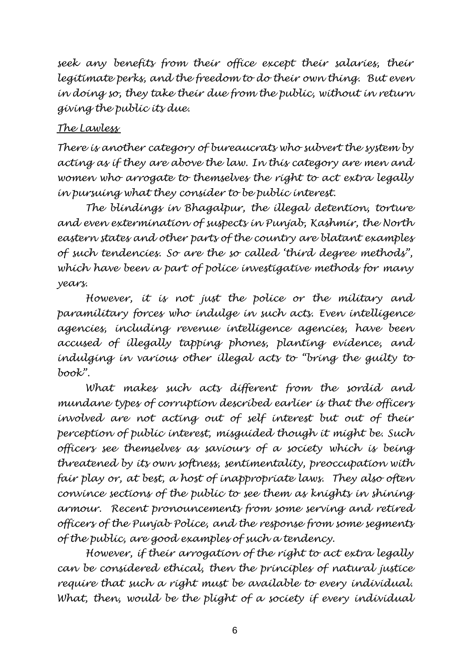*seek any benefits from their office except their salaries, their legitimate perks, and the freedom to do their own thing. But even in doing so, they take their due from the public, without in return giving the public its due.*

# *The Lawless*

*There is another category of bureaucrats who subvert the system by acting as if they are above the law. In this category are men and women who arrogate to themselves the right to act extra legally in pursuing what they consider to be public interest.* 

*The blindings in Bhagalpur, the illegal detention, torture and even extermination of suspects in Punjab, Kashmir, the North eastern states and other parts of the country are blatant examples of such tendencies. So are the so called 'third degree methods", which have been a part of police investigative methods for many years.*

*However, it is not just the police or the military and paramilitary forces who indulge in such acts. Even intelligence agencies, including revenue intelligence agencies, have been accused of illegally tapping phones, planting evidence, and indulging in various other illegal acts to "bring the guilty to book".*

*What makes such acts different from the sordid and mundane types of corruption described earlier is that the officers involved are not acting out of self interest but out of their perception of public interest, misguided though it might be. Such officers see themselves as saviours of a society which is being threatened by its own softness, sentimentality, preoccupation with fair play or, at best, a host of inappropriate laws. They also often convince sections of the public to see them as knights in shining armour. Recent pronouncements from some serving and retired officers of the Punjab Police, and the response from some segments of the public, are good examples of such a tendency.*

*However, if their arrogation of the right to act extra legally can be considered ethical, then the principles of natural justice require that such a right must be available to every individual. What, then, would be the plight of a society if every individual*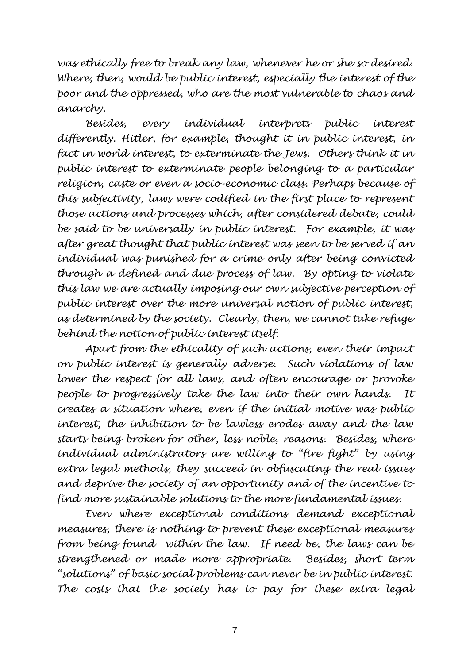*was ethically free to break any law, whenever he or she so desired. Where, then, would be public interest, especially the interest of the poor and the oppressed, who are the most vulnerable to chaos and anarchy.* 

*Besides, every individual interprets public interest differently. Hitler, for example, thought it in public interest, in fact in world interest, to exterminate the Jews. Others think it in public interest to exterminate people belonging to a particular religion, caste or even a socio-economic class. Perhaps because of this subjectivity, laws were codified in the first place to represent those actions and processes which, after considered debate, could be said to be universally in public interest. For example, it was after great thought that public interest was seen to be served if an individual was punished for a crime only after being convicted through a defined and due process of law. By opting to violate this law we are actually imposing our own subjective perception of public interest over the more universal notion of public interest, as determined by the society. Clearly, then, we cannot take refuge behind the notion of public interest itself.*

*Apart from the ethicality of such actions, even their impact on public interest is generally adverse. Such violations of law lower the respect for all laws, and often encourage or provoke people to progressively take the law into their own hands. It creates a situation where, even if the initial motive was public interest, the inhibition to be lawless erodes away and the law starts being broken for other, less noble, reasons. Besides, where individual administrators are willing to "fire fight" by using extra legal methods, they succeed in obfuscating the real issues and deprive the society of an opportunity and of the incentive to find more sustainable solutions to the more fundamental issues.*

*Even where exceptional conditions demand exceptional measures, there is nothing to prevent these exceptional measures from being found within the law. If need be, the laws can be strengthened or made more appropriate. Besides, short term "solutions" of basic social problems can never be in public interest. The costs that the society has to pay for these extra legal*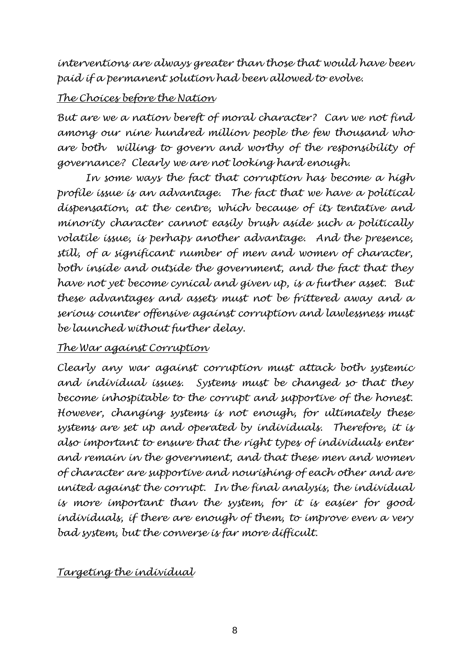*interventions are always greater than those that would have been paid if a permanent solution had been allowed to evolve.*

# *The Choices before the Nation*

*But are we a nation bereft of moral character? Can we not find among our nine hundred million people the few thousand who are both willing to govern and worthy of the responsibility of governance? Clearly we are not looking hard enough.*

*In some ways the fact that corruption has become a high profile issue is an advantage. The fact that we have a political dispensation, at the centre, which because of its tentative and minority character cannot easily brush aside such a politically volatile issue, is perhaps another advantage. And the presence, still, of a significant number of men and women of character, both inside and outside the government, and the fact that they have not yet become cynical and given up, is a further asset. But these advantages and assets must not be frittered away and a serious counter offensive against corruption and lawlessness must be launched without further delay.*

#### *The War against Corruption*

*Clearly any war against corruption must attack both systemic and individual issues. Systems must be changed so that they become inhospitable to the corrupt and supportive of the honest. However, changing systems is not enough, for ultimately these systems are set up and operated by individuals. Therefore, it is also important to ensure that the right types of individuals enter and remain in the government, and that these men and women of character are supportive and nourishing of each other and are united against the corrupt. In the final analysis, the individual is more important than the system, for it is easier for good individuals, if there are enough of them, to improve even a very bad system, but the converse is far more difficult.*

# *Targeting the individual*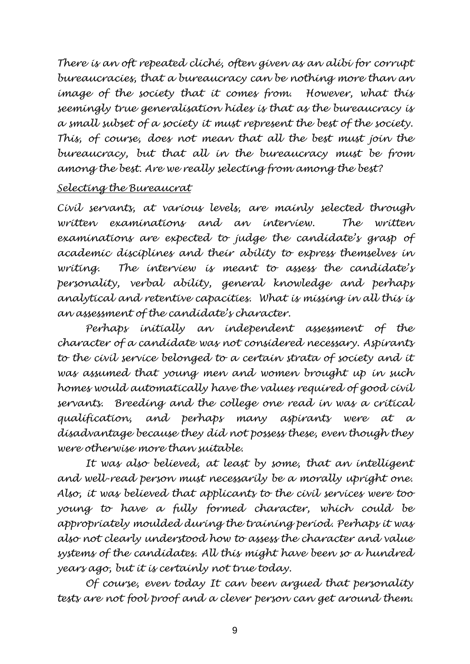*There is an oft repeated cliché, often given as an alibi for corrupt bureaucracies, that a bureaucracy can be nothing more than an image of the society that it comes from. However, what this seemingly true generalisation hides is that as the bureaucracy is a small subset of a society it must represent the best of the society. This, of course, does not mean that all the best must join the bureaucracy, but that all in the bureaucracy must be from among the best. Are we really selecting from among the best?*

## *Selecting the Bureaucrat*

*Civil servants, at various levels, are mainly selected through written examinations and an interview. The written examinations are expected to judge the candidate's grasp of academic disciplines and their ability to express themselves in writing. The interview is meant to assess the candidate's personality, verbal ability, general knowledge and perhaps analytical and retentive capacities. What is missing in all this is an assessment of the candidate's character.*

*Perhaps initially an independent assessment of the character of a candidate was not considered necessary. Aspirants to the civil service belonged to a certain strata of society and it was assumed that young men and women brought up in such homes would automatically have the values required of good civil servants. Breeding and the college one read in was a critical qualification, and perhaps many aspirants were at a disadvantage because they did not possess these, even though they were otherwise more than suitable.*

*It was also believed, at least by some, that an intelligent and well-read person must necessarily be a morally upright one. Also, it was believed that applicants to the civil services were too young to have a fully formed character, which could be appropriately moulded during the training period. Perhaps it was also not clearly understood how to assess the character and value systems of the candidates. All this might have been so a hundred years ago, but it is certainly not true today.*

*Of course, even today It can been argued that personality tests are not fool proof and a clever person can get around them.*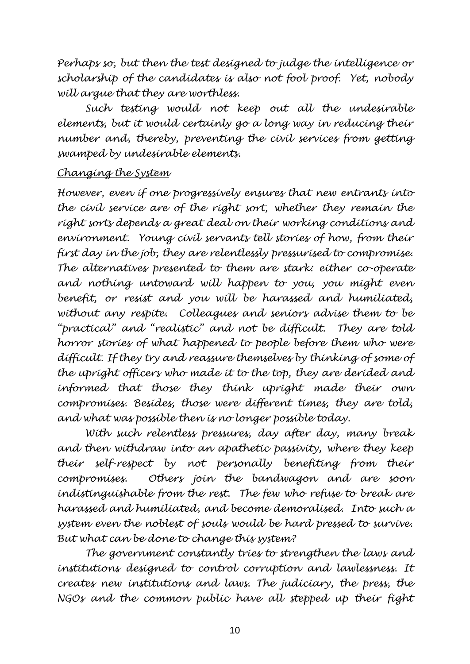*Perhaps so, but then the test designed to judge the intelligence or scholarship of the candidates is also not fool proof. Yet, nobody will argue that they are worthless.*

*Such testing would not keep out all the undesirable elements, but it would certainly go a long way in reducing their number and, thereby, preventing the civil services from getting swamped by undesirable elements.*

#### *Changing the System*

*However, even if one progressively ensures that new entrants into the civil service are of the right sort, whether they remain the right sorts depends a great deal on their working conditions and environment. Young civil servants tell stories of how, from their first day in the job, they are relentlessly pressurised to compromise. The alternatives presented to them are stark: either co-operate and nothing untoward will happen to you, you might even benefit, or resist and you will be harassed and humiliated, without any respite. Colleagues and seniors advise them to be "practical" and "realistic" and not be difficult. They are told horror stories of what happened to people before them who were difficult. If they try and reassure themselves by thinking of some of the upright officers who made it to the top, they are derided and informed that those they think upright made their own compromises. Besides, those were different times, they are told, and what was possible then is no longer possible today.*

*With such relentless pressures, day after day, many break and then withdraw into an apathetic passivity, where they keep their self-respect by not personally benefiting from their compromises. Others join the bandwagon and are soon indistinguishable from the rest. The few who refuse to break are harassed and humiliated, and become demoralised. Into such a system even the noblest of souls would be hard pressed to survive. But what can be done to change this system?* 

*The government constantly tries to strengthen the laws and institutions designed to control corruption and lawlessness. It creates new institutions and laws. The judiciary, the press, the NGOs and the common public have all stepped up their fight*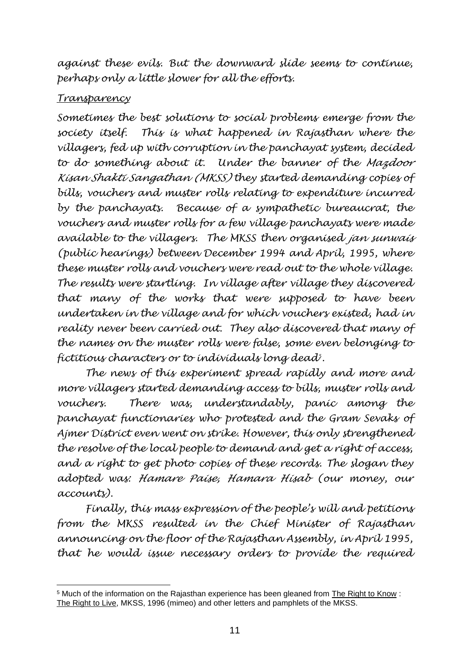*against these evils. But the downward slide seems to continue, perhaps only a little slower for all the efforts.* 

# *Transparency*

*Sometimes the best solutions to social problems emerge from the society itself. This is what happened in Rajasthan where the villagers, fed up with corruption in the panchayat system, decided to do something about it. Under the banner of the Mazdoor Kisan Shakti Sangathan (MKSS) they started demanding copies of bills, vouchers and muster rolls relating to expenditure incurred by the panchayats. Because of a sympathetic bureaucrat, the vouchers and muster rolls for a few village panchayats were made available to the villagers. The MKSS then organised jan sunwais (public hearings) between December 1994 and April, 1995, where these muster rolls and vouchers were read out to the whole village. The results were startling. In village after village they discovered that many of the works that were supposed to have been undertaken in the village and for which vouchers existed, had in reality never been carried out. They also discovered that many of the names on the muster rolls were false, some even belonging to fictitious characters or to individuals long dead<sup>5</sup> .*

*The news of this experiment spread rapidly and more and more villagers started demanding access to bills, muster rolls and vouchers. There was, understandably, panic among the panchayat functionaries who protested and the Gram Sevaks of Ajmer District even went on strike. However, this only strengthened the resolve of the local people to demand and get a right of access, and a right to get photo copies of these records. The slogan they adopted was: Hamare Paise, Hamara Hisab (our money, our accounts).*

*Finally, this mass expression of the people's will and petitions from the MKSS resulted in the Chief Minister of Rajasthan announcing on the floor of the Rajasthan Assembly, in April 1995, that he would issue necessary orders to provide the required* 

<sup>5</sup> Much of the information on the Rajasthan experience has been gleaned from The Right to Know : The Right to Live, MKSS, 1996 (mimeo) and other letters and pamphlets of the MKSS.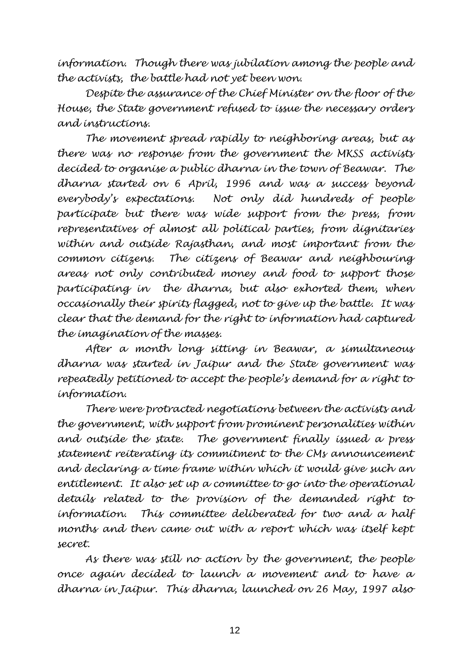*information. Though there was jubilation among the people and the activists, the battle had not yet been won.*

*Despite the assurance of the Chief Minister on the floor of the House, the State government refused to issue the necessary orders and instructions.* 

*The movement spread rapidly to neighboring areas, but as there was no response from the government the MKSS activists decided to organise a public dharna in the town of Beawar. The dharna started on 6 April, 1996 and was a success beyond everybody's expectations. Not only did hundreds of people participate but there was wide support from the press, from representatives of almost all political parties, from dignitaries within and outside Rajasthan, and most important from the common citizens. The citizens of Beawar and neighbouring areas not only contributed money and food to support those participating in the dharna, but also exhorted them, when occasionally their spirits flagged, not to give up the battle. It was clear that the demand for the right to information had captured the imagination of the masses.*

*After a month long sitting in Beawar, a simultaneous dharna was started in Jaipur and the State government was repeatedly petitioned to accept the people's demand for a right to information.* 

*There were protracted negotiations between the activists and the government, with support from prominent personalities within and outside the state. The government finally issued a press statement reiterating its commitment to the CMs announcement and declaring a time frame within which it would give such an entitlement. It also set up a committee to go into the operational details related to the provision of the demanded right to information. This committee deliberated for two and a half months and then came out with a report which was itself kept secret.* 

*As there was still no action by the government, the people once again decided to launch a movement and to have a dharna in Jaipur. This dharna, launched on 26 May, 1997 also*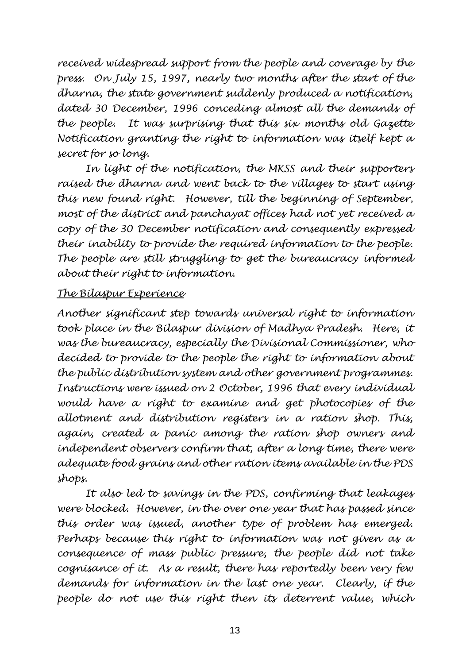*received widespread support from the people and coverage by the press. On July 15, 1997, nearly two months after the start of the dharna, the state government suddenly produced a notification, dated 30 December, 1996 conceding almost all the demands of the people. It was surprising that this six months old Gazette Notification granting the right to information was itself kept a secret for so long.*

*In light of the notification, the MKSS and their supporters raised the dharna and went back to the villages to start using this new found right. However, till the beginning of September, most of the district and panchayat offices had not yet received a copy of the 30 December notification and consequently expressed their inability to provide the required information to the people. The people are still struggling to get the bureaucracy informed about their right to information.*

## *The Bilaspur Experience*

*Another significant step towards universal right to information*  took place in the Bilaspur division of Madhya Pradesh. Here, it *was the bureaucracy, especially the Divisional Commissioner, who decided to provide to the people the right to information about the public distribution system and other government programmes. Instructions were issued on 2 October, 1996 that every individual would have a right to examine and get photocopies of the allotment and distribution registers in a ration shop. This, again, created a panic among the ration shop owners and independent observers confirm that, after a long time, there were adequate food grains and other ration items available in the PDS shops.* 

*It also led to savings in the PDS, confirming that leakages were blocked. However, in the over one year that has passed since this order was issued, another type of problem has emerged. Perhaps because this right to information was not given as a consequence of mass public pressure, the people did not take cognisance of it. As a result, there has reportedly been very few demands for information in the last one year. Clearly, if the people do not use this right then its deterrent value, which*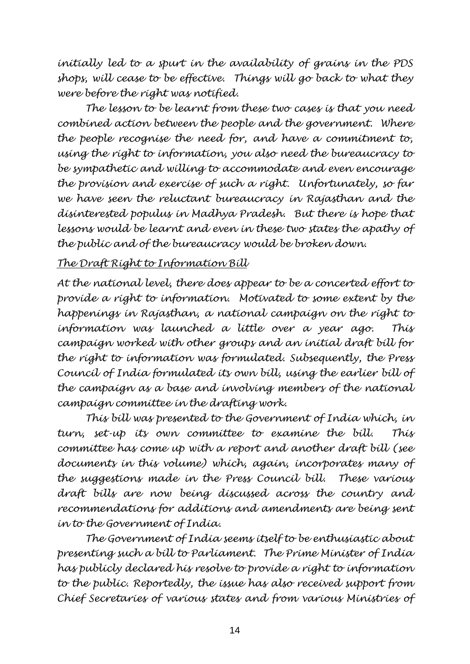*initially led to a spurt in the availability of grains in the PDS shops, will cease to be effective. Things will go back to what they were before the right was notified.* 

*The lesson to be learnt from these two cases is that you need combined action between the people and the government. Where the people recognise the need for, and have a commitment to, using the right to information, you also need the bureaucracy to be sympathetic and willing to accommodate and even encourage the provision and exercise of such a right. Unfortunately, so far we have seen the reluctant bureaucracy in Rajasthan and the disinterested populus in Madhya Pradesh. But there is hope that lessons would be learnt and even in these two states the apathy of the public and of the bureaucracy would be broken down.*

#### *The Draft Right to Information Bill*

*At the national level, there does appear to be a concerted effort to provide a right to information. Motivated to some extent by the happenings in Rajasthan, a national campaign on the right to information was launched a little over a year ago. This campaign worked with other groups and an initial draft bill for the right to information was formulated. Subsequently, the Press Council of India formulated its own bill, using the earlier bill of the campaign as a base and involving members of the national campaign committee in the drafting work.* 

*This bill was presented to the Government of India which, in turn, set-up its own committee to examine the bill. This committee has come up with a report and another draft bill (see documents in this volume) which, again, incorporates many of the suggestions made in the Press Council bill. These various draft bills are now being discussed across the country and recommendations for additions and amendments are being sent in to the Government of India.*

*The Government of India seems itself to be enthusiastic about presenting such a bill to Parliament. The Prime Minister of India has publicly declared his resolve to provide a right to information to the public. Reportedly, the issue has also received support from Chief Secretaries of various states and from various Ministries of*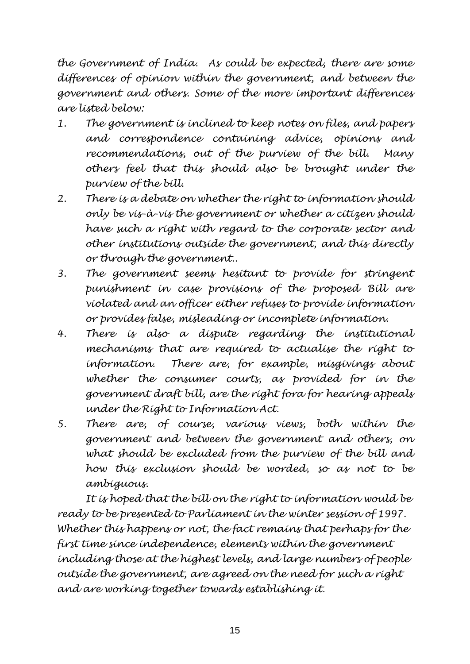*the Government of India. As could be expected, there are some differences of opinion within the government, and between the government and others. Some of the more important differences are listed below:*

- *1. The government is inclined to keep notes on files, and papers and correspondence containing advice, opinions and recommendations, out of the purview of the bill. Many others feel that this should also be brought under the purview of the bill.*
- *2. There is a debate on whether the right to information should only be vis-à-vis the government or whether a citizen should have such a right with regard to the corporate sector and other institutions outside the government, and this directly or through the government..*
- *3. The government seems hesitant to provide for stringent punishment in case provisions of the proposed Bill are violated and an officer either refuses to provide information or provides false, misleading or incomplete information.*
- *4. There is also a dispute regarding the institutional mechanisms that are required to actualise the right to information. There are, for example, misgivings about whether the consumer courts, as provided for in the government draft bill, are the right fora for hearing appeals under the Right to Information Act.*
- *5. There are, of course, various views, both within the government and between the government and others, on what should be excluded from the purview of the bill and how this exclusion should be worded, so as not to be ambiguous.*

*It is hoped that the bill on the right to information would be ready to be presented to Parliament in the winter session of 1997. Whether this happens or not, the fact remains that perhaps for the first time since independence, elements within the government including those at the highest levels, and large numbers of people outside the government, are agreed on the need for such a right and are working together towards establishing it.*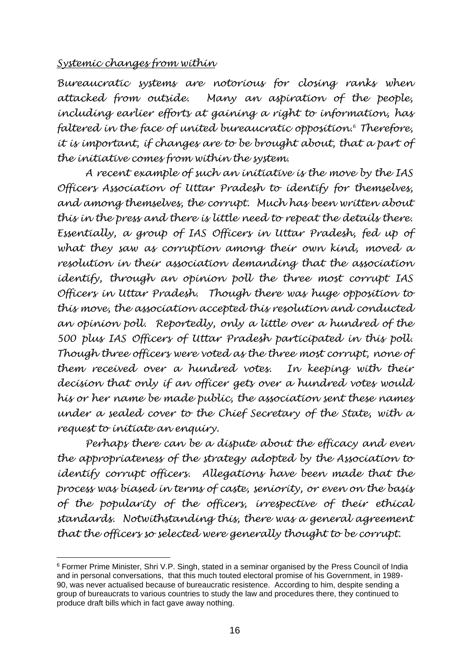#### *Systemic changes from within*

*Bureaucratic systems are notorious for closing ranks when attacked from outside. Many an aspiration of the people, including earlier efforts at gaining a right to information, has faltered in the face of united bureaucratic opposition.<sup>6</sup> Therefore, it is important, if changes are to be brought about, that a part of the initiative comes from within the system.* 

*A recent example of such an initiative is the move by the IAS Officers Association of Uttar Pradesh to identify for themselves, and among themselves, the corrupt. Much has been written about this in the press and there is little need to repeat the details there. Essentially, a group of IAS Officers in Uttar Pradesh, fed up of what they saw as corruption among their own kind, moved a resolution in their association demanding that the association identify, through an opinion poll the three most corrupt IAS Officers in Uttar Pradesh. Though there was huge opposition to this move, the association accepted this resolution and conducted an opinion poll. Reportedly, only a little over a hundred of the 500 plus IAS Officers of Uttar Pradesh participated in this poll. Though three officers were voted as the three most corrupt, none of them received over a hundred votes. In keeping with their decision that only if an officer gets over a hundred votes would his or her name be made public, the association sent these names under a sealed cover to the Chief Secretary of the State, with a request to initiate an enquiry.*

*Perhaps there can be a dispute about the efficacy and even the appropriateness of the strategy adopted by the Association to identify corrupt officers. Allegations have been made that the process was biased in terms of caste, seniority, or even on the basis of the popularity of the officers, irrespective of their ethical standards. Notwithstanding this, there was a general agreement that the officers so selected were generally thought to be corrupt.* 

<sup>6</sup> Former Prime Minister, Shri V.P. Singh, stated in a seminar organised by the Press Council of India and in personal conversations, that this much touted electoral promise of his Government, in 1989- 90, was never actualised because of bureaucratic resistence. According to him, despite sending a group of bureaucrats to various countries to study the law and procedures there, they continued to produce draft bills which in fact gave away nothing.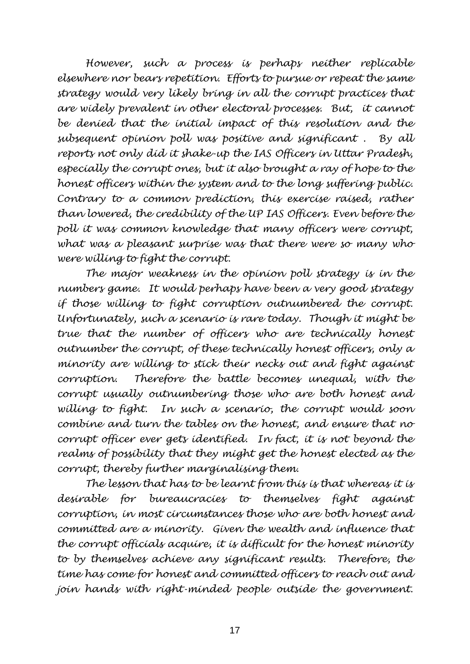*However, such a process is perhaps neither replicable elsewhere nor bears repetition. Efforts to pursue or repeat the same strategy would very likely bring in all the corrupt practices that are widely prevalent in other electoral processes. But, it cannot be denied that the initial impact of this resolution and the subsequent opinion poll was positive and significant . By all reports not only did it shake-up the IAS Officers in Uttar Pradesh, especially the corrupt ones, but it also brought a ray of hope to the honest officers within the system and to the long suffering public. Contrary to a common prediction, this exercise raised, rather than lowered, the credibility of the UP IAS Officers. Even before the poll it was common knowledge that many officers were corrupt, what was a pleasant surprise was that there were so many who were willing to fight the corrupt.*

*The major weakness in the opinion poll strategy is in the numbers game. It would perhaps have been a very good strategy if those willing to fight corruption outnumbered the corrupt. Unfortunately, such a scenario is rare today. Though it might be true that the number of officers who are technically honest outnumber the corrupt, of these technically honest officers, only a minority are willing to stick their necks out and fight against corruption. Therefore the battle becomes unequal, with the corrupt usually outnumbering those who are both honest and willing to fight. In such a scenario, the corrupt would soon combine and turn the tables on the honest, and ensure that no corrupt officer ever gets identified. In fact, it is not beyond the realms of possibility that they might get the honest elected as the corrupt, thereby further marginalising them.*

*The lesson that has to be learnt from this is that whereas it is desirable for bureaucracies to themselves fight against corruption, in most circumstances those who are both honest and committed are a minority. Given the wealth and influence that the corrupt officials acquire, it is difficult for the honest minority to by themselves achieve any significant results. Therefore, the time has come for honest and committed officers to reach out and join hands with right-minded people outside the government.*